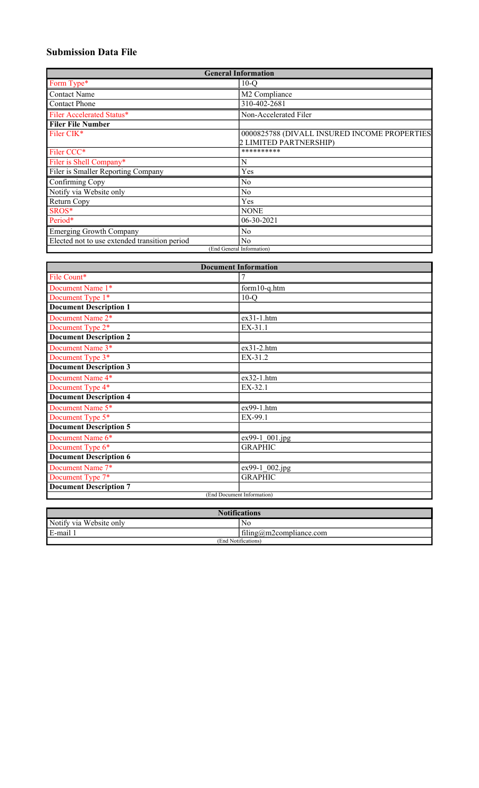# **Submission Data File**

| <b>General Information</b>                    |                                              |  |  |  |  |  |
|-----------------------------------------------|----------------------------------------------|--|--|--|--|--|
| Form Type*                                    | $10-Q$                                       |  |  |  |  |  |
| <b>Contact Name</b>                           | M2 Compliance                                |  |  |  |  |  |
| <b>Contact Phone</b>                          | 310-402-2681                                 |  |  |  |  |  |
| Filer Accelerated Status*                     | Non-Accelerated Filer                        |  |  |  |  |  |
| <b>Filer File Number</b>                      |                                              |  |  |  |  |  |
| Filer CIK*                                    | 0000825788 (DIVALL INSURED INCOME PROPERTIES |  |  |  |  |  |
|                                               | 2 LIMITED PARTNERSHIP)                       |  |  |  |  |  |
| Filer CCC*                                    | **********                                   |  |  |  |  |  |
| Filer is Shell Company*                       | N                                            |  |  |  |  |  |
| Filer is Smaller Reporting Company            | Yes                                          |  |  |  |  |  |
| Confirming Copy                               | N <sub>0</sub>                               |  |  |  |  |  |
| Notify via Website only                       | N <sub>o</sub>                               |  |  |  |  |  |
| Return Copy                                   | Yes                                          |  |  |  |  |  |
| SROS*                                         | <b>NONE</b>                                  |  |  |  |  |  |
| Period*                                       | 06-30-2021                                   |  |  |  |  |  |
| <b>Emerging Growth Company</b>                | No                                           |  |  |  |  |  |
| Elected not to use extended transition period | N <sub>0</sub>                               |  |  |  |  |  |
|                                               | (End General Information)                    |  |  |  |  |  |

| <b>Document Information</b>   |                         |  |  |  |  |  |
|-------------------------------|-------------------------|--|--|--|--|--|
| File Count*                   |                         |  |  |  |  |  |
| Document Name 1*              | form10-q.htm            |  |  |  |  |  |
| Document Type 1*              | $10-Q$                  |  |  |  |  |  |
| <b>Document Description 1</b> |                         |  |  |  |  |  |
| Document Name 2*              | $ex31-1.htm$            |  |  |  |  |  |
| Document Type 2*              | EX-31.1                 |  |  |  |  |  |
| <b>Document Description 2</b> |                         |  |  |  |  |  |
| Document Name 3*              | $ex31-2.htm$            |  |  |  |  |  |
| Document Type 3*              | EX-31.2                 |  |  |  |  |  |
| <b>Document Description 3</b> |                         |  |  |  |  |  |
| Document Name 4*              | ex32-1.htm              |  |  |  |  |  |
| Document Type 4*              | EX-32.1                 |  |  |  |  |  |
| <b>Document Description 4</b> |                         |  |  |  |  |  |
| Document Name 5*              | ex99-1.htm              |  |  |  |  |  |
| Document Type 5*              | EX-99.1                 |  |  |  |  |  |
| <b>Document Description 5</b> |                         |  |  |  |  |  |
| Document Name 6*              | $\sqrt{ex99-1}$ 001.jpg |  |  |  |  |  |
| Document Type 6*              | <b>GRAPHIC</b>          |  |  |  |  |  |
| <b>Document Description 6</b> |                         |  |  |  |  |  |
| Document Name 7*              | ex99-1_002.jpg          |  |  |  |  |  |
| Document Type 7*              | <b>GRAPHIC</b>          |  |  |  |  |  |
| <b>Document Description 7</b> |                         |  |  |  |  |  |
| (End Document Information)    |                         |  |  |  |  |  |

| <b>Notifications</b>    |                         |  |  |  |  |
|-------------------------|-------------------------|--|--|--|--|
| Notify via Website only | No.                     |  |  |  |  |
| E-mail                  | filing@m2compliance.com |  |  |  |  |
| (End Notifications)     |                         |  |  |  |  |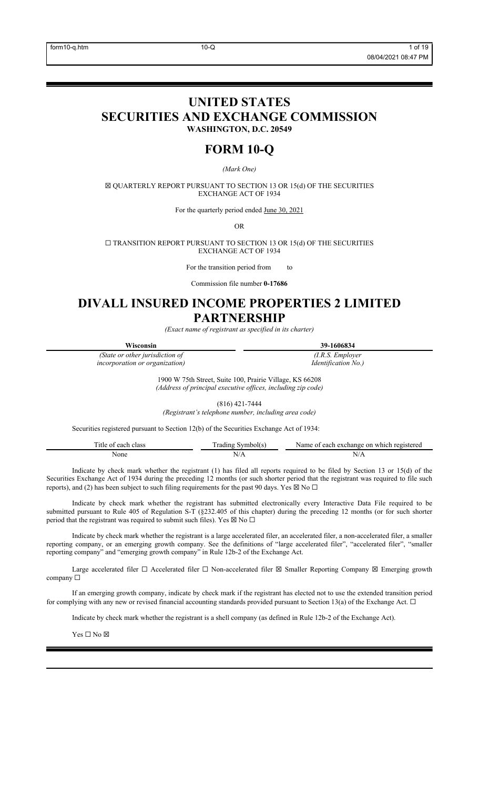# **UNITED STATES SECURITIES AND EXCHANGE COMMISSION WASHINGTON, D.C. 20549**

# **FORM 10-Q**

*(Mark One)*

☒ QUARTERLY REPORT PURSUANT TO SECTION 13 OR 15(d) OF THE SECURITIES EXCHANGE ACT OF 1934

For the quarterly period ended June 30, 2021

OR

 $\square$  TRANSITION REPORT PURSUANT TO SECTION 13 OR 15(d) OF THE SECURITIES EXCHANGE ACT OF 1934

For the transition period from to

Commission file number **0-17686**

# **DIVALL INSURED INCOME PROPERTIES 2 LIMITED PARTNERSHIP**

*(Exact name of registrant as specified in its charter)*

| Wisconsin                              | 39-1606834                 |
|----------------------------------------|----------------------------|
| (State or other jurisdiction of        | (I.R.S. Employer           |
| <i>incorporation or organization</i> ) | <i>Identification No.)</i> |

1900 W 75th Street, Suite 100, Prairie Village, KS 66208 *(Address of principal executive offices, including zip code)*

(816) 421-7444

*(Registrant's telephone number, including area code)*

Securities registered pursuant to Section 12(b) of the Securities Exchange Act of 1934:

| elass | ra.<br>$ -$<br>ചവി ല<br>$\lambda$ | nn<br>which<br>registered.<br>:har<br>each<br>ገጥና |
|-------|-----------------------------------|---------------------------------------------------|
| None  | $\mathbf{N}$                      | N/A                                               |
|       |                                   |                                                   |

Indicate by check mark whether the registrant (1) has filed all reports required to be filed by Section 13 or 15(d) of the Securities Exchange Act of 1934 during the preceding 12 months (or such shorter period that the registrant was required to file such reports), and (2) has been subject to such filing requirements for the past 90 days. Yes  $\boxtimes$  No  $\Box$ 

Indicate by check mark whether the registrant has submitted electronically every Interactive Data File required to be submitted pursuant to Rule 405 of Regulation S-T (§232.405 of this chapter) during the preceding 12 months (or for such shorter period that the registrant was required to submit such files). Yes  $\boxtimes$  No  $\Box$ 

Indicate by check mark whether the registrant is a large accelerated filer, an accelerated filer, a non-accelerated filer, a smaller reporting company, or an emerging growth company. See the definitions of "large accelerated filer", "accelerated filer", "smaller reporting company" and "emerging growth company" in Rule 12b-2 of the Exchange Act.

Large accelerated filer □ Accelerated filer □ Non-accelerated filer ⊠ Smaller Reporting Company ⊠ Emerging growth company ☐

If an emerging growth company, indicate by check mark if the registrant has elected not to use the extended transition period for complying with any new or revised financial accounting standards provided pursuant to Section 13(a) of the Exchange Act.  $\Box$ 

Indicate by check mark whether the registrant is a shell company (as defined in Rule 12b-2 of the Exchange Act).

 $\mathbf{Yes} \ \square \ \mathbf{No} \ \boxtimes$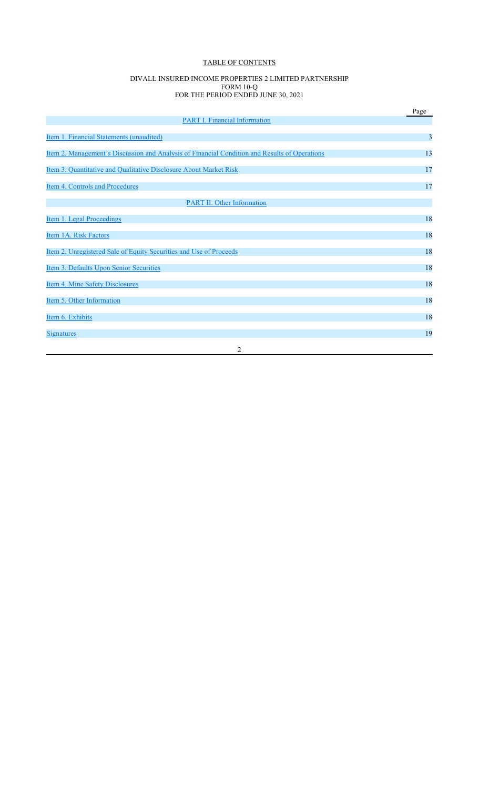# TABLE OF CONTENTS

#### DIVALL INSURED INCOME PROPERTIES 2 LIMITED PARTNERSHIP FORM 10-Q FOR THE PERIOD ENDED JUNE 30, 2021

|                                                                                                      | Page |
|------------------------------------------------------------------------------------------------------|------|
| <b>PART I. Financial Information</b>                                                                 |      |
| Item 1. Financial Statements (unaudited)                                                             | 3    |
| <u>Item 2. Management's Discussion and Analysis of Financial Condition and Results of Operations</u> | 13   |
| Item 3. Quantitative and Qualitative Disclosure About Market Risk                                    | 17   |
| Item 4. Controls and Procedures                                                                      | 17   |
| <b>PART II. Other Information</b>                                                                    |      |
| Item 1. Legal Proceedings                                                                            | 18   |
| Item 1A. Risk Factors                                                                                | 18   |
| Item 2. Unregistered Sale of Equity Securities and Use of Proceeds                                   | 18   |
| Item 3. Defaults Upon Senior Securities                                                              | 18   |
| Item 4. Mine Safety Disclosures                                                                      | 18   |
| Item 5. Other Information                                                                            | 18   |
| Item 6. Exhibits                                                                                     | 18   |
| <b>Signatures</b>                                                                                    | 19   |
| 2                                                                                                    |      |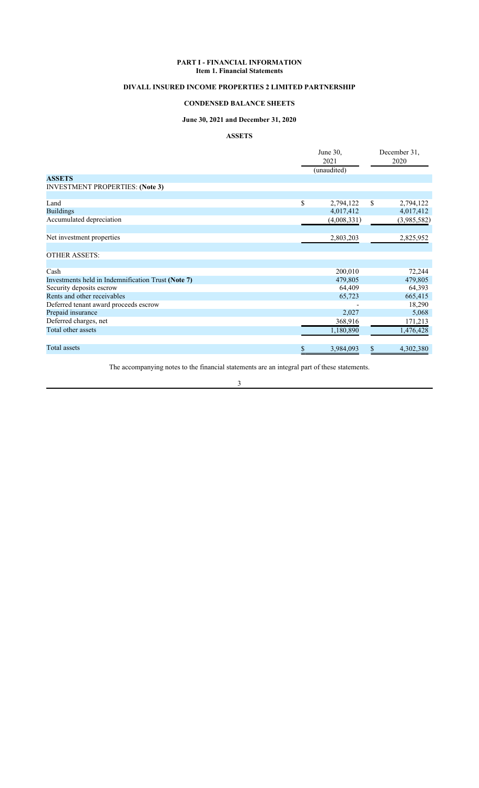## **PART I - FINANCIAL INFORMATION Item 1. Financial Statements**

# **DIVALL INSURED INCOME PROPERTIES 2 LIMITED PARTNERSHIP**

# **CONDENSED BALANCE SHEETS**

# **June 30, 2021 and December 31, 2020**

# **ASSETS**

|                                                    |      | June 30,<br>2021<br>(unaudited) | December 31,<br>2020 |             |  |
|----------------------------------------------------|------|---------------------------------|----------------------|-------------|--|
| <b>ASSETS</b>                                      |      |                                 |                      |             |  |
| <b>INVESTMENT PROPERTIES: (Note 3)</b>             |      |                                 |                      |             |  |
|                                                    |      |                                 |                      |             |  |
| Land                                               | \$   | 2,794,122                       | \$                   | 2,794,122   |  |
| <b>Buildings</b>                                   |      | 4,017,412                       |                      | 4,017,412   |  |
| Accumulated depreciation                           |      | (4,008,331)                     |                      | (3,985,582) |  |
|                                                    |      |                                 |                      |             |  |
| Net investment properties                          |      | 2,803,203                       |                      | 2,825,952   |  |
|                                                    |      |                                 |                      |             |  |
| <b>OTHER ASSETS:</b>                               |      |                                 |                      |             |  |
|                                                    |      |                                 |                      |             |  |
| Cash                                               |      | 200,010                         |                      | 72,244      |  |
| Investments held in Indemnification Trust (Note 7) |      | 479,805                         |                      | 479,805     |  |
| Security deposits escrow                           |      | 64,409                          |                      | 64,393      |  |
| Rents and other receivables                        |      | 65,723                          |                      | 665,415     |  |
| Deferred tenant award proceeds escrow              |      |                                 |                      | 18,290      |  |
| Prepaid insurance                                  |      | 2,027                           |                      | 5,068       |  |
| Deferred charges, net                              |      | 368,916                         |                      | 171,213     |  |
| Total other assets                                 |      | 1,180,890                       |                      | 1,476,428   |  |
|                                                    |      |                                 |                      |             |  |
| Total assets                                       | $\$$ | 3,984,093                       | \$                   | 4,302,380   |  |

The accompanying notes to the financial statements are an integral part of these statements.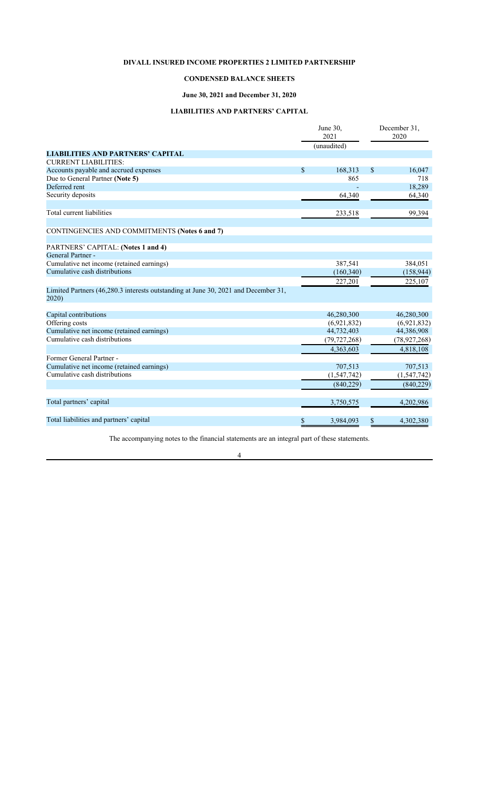# **CONDENSED BALANCE SHEETS**

# **June 30, 2021 and December 31, 2020**

# **LIABILITIES AND PARTNERS' CAPITAL**

|                                                                                             | June 30,<br>2021<br>(unaudited) | December 31,<br>2020 |
|---------------------------------------------------------------------------------------------|---------------------------------|----------------------|
| <b>LIABILITIES AND PARTNERS' CAPITAL</b>                                                    |                                 |                      |
| <b>CURRENT LIABILITIES:</b>                                                                 |                                 |                      |
| Accounts payable and accrued expenses                                                       | \$<br>168,313                   | \$<br>16,047         |
| Due to General Partner (Note 5)                                                             | 865                             | 718                  |
| Deferred rent                                                                               |                                 | 18,289               |
| Security deposits                                                                           | 64,340                          | 64,340               |
| Total current liabilities                                                                   | 233,518                         | 99,394               |
|                                                                                             |                                 |                      |
| CONTINGENCIES AND COMMITMENTS (Notes 6 and 7)                                               |                                 |                      |
| PARTNERS' CAPITAL: (Notes 1 and 4)                                                          |                                 |                      |
| General Partner -                                                                           |                                 |                      |
| Cumulative net income (retained earnings)                                                   | 387,541                         | 384,051              |
| Cumulative cash distributions                                                               | (160, 340)                      | (158, 944)           |
|                                                                                             | 227,201                         | 225,107              |
| Limited Partners (46,280.3 interests outstanding at June 30, 2021 and December 31,<br>2020) |                                 |                      |
| Capital contributions                                                                       | 46,280,300                      | 46,280,300           |
| Offering costs                                                                              | (6,921,832)                     | (6,921,832)          |
| Cumulative net income (retained earnings)                                                   | 44,732,403                      | 44,386,908           |
| Cumulative cash distributions                                                               | (79, 727, 268)                  | (78, 927, 268)       |
|                                                                                             | 4,363,603                       | 4,818,108            |
| Former General Partner -                                                                    |                                 |                      |
| Cumulative net income (retained earnings)                                                   | 707,513                         | 707,513              |
| Cumulative cash distributions                                                               | (1, 547, 742)                   | (1, 547, 742)        |
|                                                                                             | (840,229)                       | (840,229)            |
| Total partners' capital                                                                     | 3,750,575                       | 4,202,986            |
|                                                                                             |                                 |                      |
| Total liabilities and partners' capital                                                     | \$<br>3,984,093                 | \$<br>4,302,380      |

The accompanying notes to the financial statements are an integral part of these statements.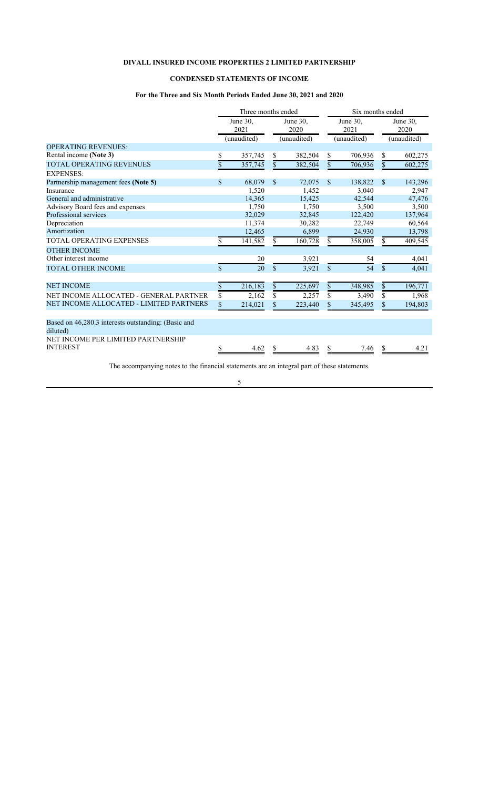# **CONDENSED STATEMENTS OF INCOME**

# **For the Three and Six Month Periods Ended June 30, 2021 and 2020**

|                                                                 |                    | Three months ended              |               |                                   |               | Six months ended                |               |                                   |  |
|-----------------------------------------------------------------|--------------------|---------------------------------|---------------|-----------------------------------|---------------|---------------------------------|---------------|-----------------------------------|--|
|                                                                 |                    | June 30.<br>2021<br>(unaudited) |               | June $30.$<br>2020<br>(unaudited) |               | June 30.<br>2021<br>(unaudited) |               | June $30.$<br>2020<br>(unaudited) |  |
| <b>OPERATING REVENUES:</b>                                      |                    |                                 |               |                                   |               |                                 |               |                                   |  |
| Rental income (Note 3)                                          | \$                 | 357,745                         | \$            | 382,504                           | \$            | 706,936                         | \$            | 602,275                           |  |
| <b>TOTAL OPERATING REVENUES</b>                                 | \$                 | 357,745                         | $\mathcal{S}$ | 382,504                           | $\mathbf{s}$  | 706,936                         | $\mathcal{S}$ | 602,275                           |  |
| <b>EXPENSES:</b>                                                |                    |                                 |               |                                   |               |                                 |               |                                   |  |
| Partnership management fees (Note 5)                            | \$                 | 68,079                          | $\mathbb{S}$  | 72,075                            | $\mathbb{S}$  | 138,822                         | $\mathbb{S}$  | 143,296                           |  |
| Insurance                                                       |                    | 1,520                           |               | 1,452                             |               | 3.040                           |               | 2,947                             |  |
| General and administrative                                      |                    | 14.365                          |               | 15.425                            |               | 42,544                          |               | 47,476                            |  |
| Advisory Board fees and expenses                                |                    | 1.750                           |               | 1.750                             |               | 3,500                           |               | 3,500                             |  |
| Professional services                                           |                    | 32,029                          |               | 32,845                            |               | 122,420                         |               | 137,964                           |  |
| Depreciation                                                    |                    | 11,374                          |               | 30,282                            |               | 22,749                          |               | 60,564                            |  |
| Amortization                                                    |                    | 12,465                          |               | 6,899                             |               | 24,930                          |               | 13,798                            |  |
| TOTAL OPERATING EXPENSES                                        |                    | 141,582                         | \$.           | 160,728                           | S.            | 358,005                         | \$.           | 409,545                           |  |
| <b>OTHER INCOME</b>                                             |                    |                                 |               |                                   |               |                                 |               |                                   |  |
| Other interest income                                           |                    | 20                              |               | 3,921                             |               | 54                              |               | 4,041                             |  |
| <b>TOTAL OTHER INCOME</b>                                       | $\mathbf{\hat{s}}$ | 20                              | $\mathbb{S}$  | 3,921                             | $\mathbf{\$}$ | 54                              | $\mathcal{S}$ | 4,041                             |  |
| <b>NET INCOME</b>                                               | \$                 | 216,183                         | \$            | 225,697                           | \$            | 348,985                         | $\mathbb{S}$  | 196,771                           |  |
| NET INCOME ALLOCATED - GENERAL PARTNER                          | \$                 | 2,162                           | \$            | 2,257                             | \$            | 3,490                           | \$            | 1,968                             |  |
| NET INCOME ALLOCATED - LIMITED PARTNERS                         | \$                 | 214,021                         | \$            | 223,440                           |               | 345,495                         | \$            | 194,803                           |  |
| Based on 46,280.3 interests outstanding: (Basic and<br>diluted) |                    |                                 |               |                                   |               |                                 |               |                                   |  |
| NET INCOME PER LIMITED PARTNERSHIP<br><b>INTEREST</b>           | S                  | 4.62                            | \$.           | 4.83                              |               | 7.46                            | \$            | 4.21                              |  |

The accompanying notes to the financial statements are an integral part of these statements.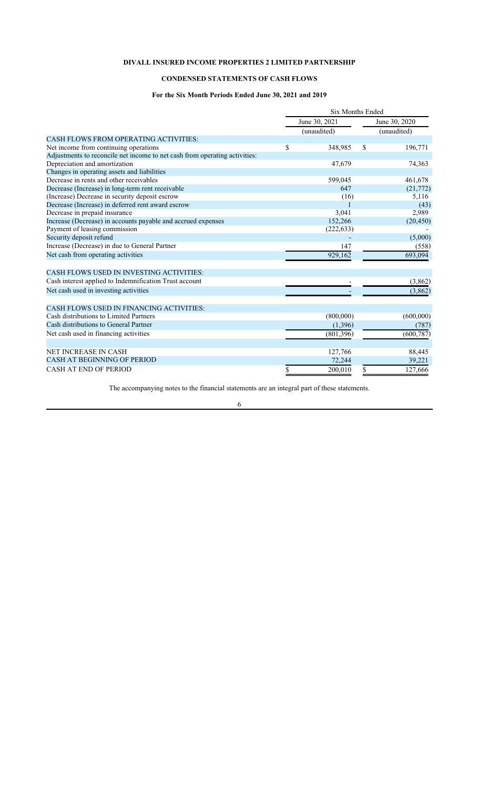# **CONDENSED STATEMENTS OF CASH FLOWS**

# **For the Six Month Periods Ended June 30, 2021 and 2019**

|                                                                            | <b>Six Months Ended</b> |             |               |               |  |
|----------------------------------------------------------------------------|-------------------------|-------------|---------------|---------------|--|
|                                                                            | June 30, 2021           |             |               | June 30, 2020 |  |
|                                                                            |                         | (unaudited) |               | (unaudited)   |  |
| <b>CASH FLOWS FROM OPERATING ACTIVITIES:</b>                               |                         |             |               |               |  |
| Net income from continuing operations                                      | \$                      | 348,985     | <sup>\$</sup> | 196,771       |  |
| Adjustments to reconcile net income to net cash from operating activities: |                         |             |               |               |  |
| Depreciation and amortization                                              |                         | 47,679      |               | 74,363        |  |
| Changes in operating assets and liabilities                                |                         |             |               |               |  |
| Decrease in rents and other receivables                                    |                         | 599,045     |               | 461,678       |  |
| Decrease (Increase) in long-term rent receivable                           |                         | 647         |               | (21,772)      |  |
| (Increase) Decrease in security deposit escrow                             |                         | (16)        |               | 5,116         |  |
| Decrease (Increase) in deferred rent award escrow                          |                         |             |               | (43)          |  |
| Decrease in prepaid insurance                                              |                         | 3,041       |               | 2,989         |  |
| Increase (Decrease) in accounts payable and accrued expenses               |                         | 152,266     |               | (20, 450)     |  |
| Payment of leasing commission                                              |                         | (222, 633)  |               |               |  |
| Security deposit refund                                                    |                         |             |               | (5,000)       |  |
| Increase (Decrease) in due to General Partner                              |                         | 147         |               | (558)         |  |
| Net cash from operating activities                                         |                         | 929,162     |               | 693,094       |  |
| CASH FLOWS USED IN INVESTING ACTIVITIES:                                   |                         |             |               |               |  |
| Cash interest applied to Indemnification Trust account                     |                         |             |               | (3,862)       |  |
| Net cash used in investing activities                                      |                         |             |               | (3,862)       |  |
| CASH FLOWS USED IN FINANCING ACTIVITIES:                                   |                         |             |               |               |  |
| Cash distributions to Limited Partners                                     |                         | (800,000)   |               | (600,000)     |  |
| Cash distributions to General Partner                                      |                         | (1,396)     |               | (787)         |  |
| Net cash used in financing activities                                      |                         | (801, 396)  |               | (600, 787)    |  |
|                                                                            |                         |             |               |               |  |
| <b>NET INCREASE IN CASH</b>                                                |                         | 127,766     |               | 88,445        |  |
| <b>CASH AT BEGINNING OF PERIOD</b>                                         |                         | 72,244      |               | 39,221        |  |
| <b>CASH AT END OF PERIOD</b>                                               |                         | 200,010     |               | 127,666       |  |

The accompanying notes to the financial statements are an integral part of these statements.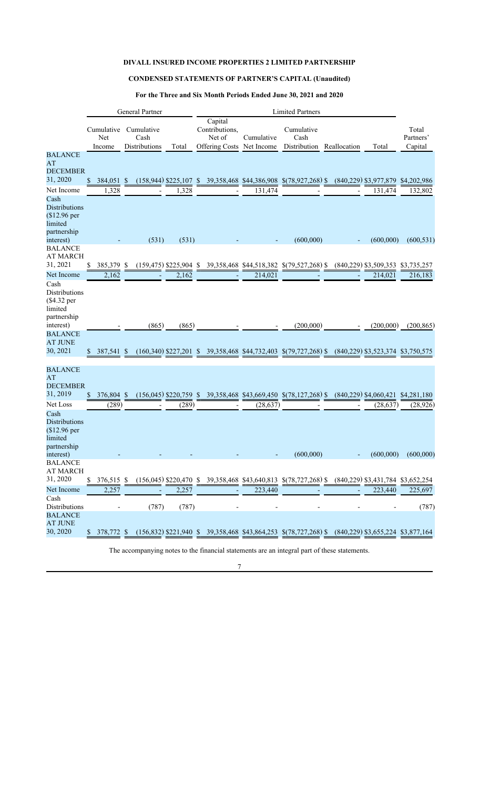# **CONDENSED STATEMENTS OF PARTNER'S CAPITAL (Unaudited)**

# **For the Three and Six Month Periods Ended June 30, 2021 and 2020**

|                          |            |            | General Partner |                          | <b>Limited Partners</b> |                           |            |                                                                                                    |  |                                        |             |
|--------------------------|------------|------------|-----------------|--------------------------|-------------------------|---------------------------|------------|----------------------------------------------------------------------------------------------------|--|----------------------------------------|-------------|
|                          |            |            |                 |                          |                         | Capital                   |            |                                                                                                    |  |                                        |             |
|                          | Cumulative |            | Cumulative      |                          |                         | Contributions,            |            | Cumulative                                                                                         |  |                                        | Total       |
|                          | Net        |            | Cash            |                          |                         | Net of                    | Cumulative | Cash                                                                                               |  |                                        | Partners'   |
|                          | Income     |            | Distributions   | Total                    |                         | Offering Costs Net Income |            | Distribution Reallocation                                                                          |  | Total                                  | Capital     |
| <b>BALANCE</b>           |            |            |                 |                          |                         |                           |            |                                                                                                    |  |                                        |             |
| AT                       |            |            |                 |                          |                         |                           |            |                                                                                                    |  |                                        |             |
| <b>DECEMBER</b>          |            |            |                 |                          |                         |                           |            |                                                                                                    |  |                                        |             |
| 31, 2020                 | \$         | 384,051    | \$              |                          |                         |                           |            | $(158,944)$ \$225,107 \$ 39,358,468 \$44,386,908 \$(78,927,268) \$                                 |  | $(840, 229)$ \$3,977,879               | \$4,202,986 |
| Net Income               |            | 1,328      |                 | 1,328                    |                         |                           | 131,474    |                                                                                                    |  | 131,474                                | 132,802     |
| Cash                     |            |            |                 |                          |                         |                           |            |                                                                                                    |  |                                        |             |
| <b>Distributions</b>     |            |            |                 |                          |                         |                           |            |                                                                                                    |  |                                        |             |
| $$12.96$ per             |            |            |                 |                          |                         |                           |            |                                                                                                    |  |                                        |             |
| limited                  |            |            |                 |                          |                         |                           |            |                                                                                                    |  |                                        |             |
| partnership              |            |            |                 |                          |                         |                           |            |                                                                                                    |  |                                        |             |
| interest)                |            |            | (531)           | (531)                    |                         |                           |            | (600,000)                                                                                          |  | (600,000)                              | (600, 531)  |
| <b>BALANCE</b>           |            |            |                 |                          |                         |                           |            |                                                                                                    |  |                                        |             |
| <b>AT MARCH</b>          |            |            |                 |                          |                         |                           |            |                                                                                                    |  |                                        |             |
| 31, 2021                 | \$         | 385,379 \$ |                 |                          |                         |                           |            | $(159,475)$ \$225,904 \$ 39,358,468 \$44,518,382 \$(79,527,268) \$                                 |  | $(840,229)$ \$3,509,353                | \$3,735,257 |
| Net Income               |            | 2,162      |                 | 2,162                    |                         |                           | 214,021    |                                                                                                    |  | 214,021                                | 216,183     |
| Cash                     |            |            |                 |                          |                         |                           |            |                                                                                                    |  |                                        |             |
| <b>Distributions</b>     |            |            |                 |                          |                         |                           |            |                                                                                                    |  |                                        |             |
| (\$4.32 per              |            |            |                 |                          |                         |                           |            |                                                                                                    |  |                                        |             |
| limited                  |            |            |                 |                          |                         |                           |            |                                                                                                    |  |                                        |             |
| partnership              |            |            |                 |                          |                         |                           |            |                                                                                                    |  |                                        |             |
| interest)                |            |            | (865)           | (865)                    |                         |                           |            | (200,000)                                                                                          |  | (200,000)                              | (200, 865)  |
| <b>BALANCE</b>           |            |            |                 |                          |                         |                           |            |                                                                                                    |  |                                        |             |
| <b>AT JUNE</b>           |            |            |                 |                          |                         |                           |            |                                                                                                    |  |                                        |             |
| 30, 2021                 | S.         | 387,541 \$ |                 |                          |                         |                           |            | $(160,340)$ \$227,201 \$ 39,358,468 \$44,732,403 \$(79,727,268) \$                                 |  | (840, 229) \$3, 523, 374 \$3, 750, 575 |             |
|                          |            |            |                 |                          |                         |                           |            |                                                                                                    |  |                                        |             |
| <b>BALANCE</b>           |            |            |                 |                          |                         |                           |            |                                                                                                    |  |                                        |             |
| AT                       |            |            |                 |                          |                         |                           |            |                                                                                                    |  |                                        |             |
| <b>DECEMBER</b>          |            |            |                 |                          |                         |                           |            |                                                                                                    |  |                                        |             |
| 31, 2019                 |            | 376,804 \$ |                 | $(156,045)$ \$220,759 \$ |                         |                           |            | 39,358,468 \$43,669,450 \$(78,127,268) \$                                                          |  | $(840,229)$ \$4,060,421 \$4,281,180    |             |
|                          |            |            |                 |                          |                         |                           |            |                                                                                                    |  |                                        |             |
| Net Loss                 |            | (289)      |                 | (289)                    |                         |                           | (28, 637)  |                                                                                                    |  | (28, 637)                              | (28, 926)   |
| Cash                     |            |            |                 |                          |                         |                           |            |                                                                                                    |  |                                        |             |
| <b>Distributions</b>     |            |            |                 |                          |                         |                           |            |                                                                                                    |  |                                        |             |
| (\$12.96 per             |            |            |                 |                          |                         |                           |            |                                                                                                    |  |                                        |             |
| limited                  |            |            |                 |                          |                         |                           |            |                                                                                                    |  |                                        |             |
| partnership<br>interest) |            |            |                 |                          |                         |                           |            | (600,000)                                                                                          |  | (600,000)                              | (600,000)   |
| <b>BALANCE</b>           |            |            |                 |                          |                         |                           |            |                                                                                                    |  |                                        |             |
| <b>AT MARCH</b>          |            |            |                 |                          |                         |                           |            |                                                                                                    |  |                                        |             |
| 31, 2020                 | S          | 376,515 \$ |                 |                          |                         |                           |            | (156,045) \$220,470 \$39,358,468 \$43,640,813 \$(78,727,268) \$(840,229) \$3,431,784 \$3,652,254   |  |                                        |             |
|                          |            |            |                 |                          |                         |                           |            |                                                                                                    |  |                                        |             |
| Net Income               |            | 2,257      |                 | 2,257                    |                         |                           | 223,440    |                                                                                                    |  | 223,440                                | 225,697     |
| Cash                     |            |            |                 |                          |                         |                           |            |                                                                                                    |  |                                        |             |
| Distributions            |            |            | (787)           | (787)                    |                         |                           |            |                                                                                                    |  |                                        | (787)       |
| <b>BALANCE</b>           |            |            |                 |                          |                         |                           |            |                                                                                                    |  |                                        |             |
| <b>AT JUNE</b>           |            |            |                 |                          |                         |                           |            |                                                                                                    |  |                                        |             |
| 30, 2020                 | \$         | 378,772 \$ |                 |                          |                         |                           |            | (156,832) \$221,940 \$ 39,358,468 \$43,864,253 \$(78,727,268) \$ (840,229) \$3,655,224 \$3,877,164 |  |                                        |             |

The accompanying notes to the financial statements are an integral part of these statements.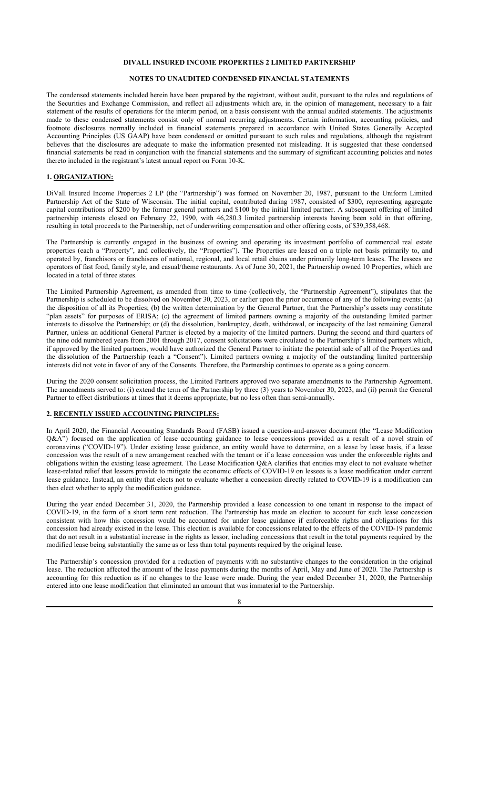#### **NOTES TO UNAUDITED CONDENSED FINANCIAL STATEMENTS**

The condensed statements included herein have been prepared by the registrant, without audit, pursuant to the rules and regulations of the Securities and Exchange Commission, and reflect all adjustments which are, in the opinion of management, necessary to a fair statement of the results of operations for the interim period, on a basis consistent with the annual audited statements. The adjustments made to these condensed statements consist only of normal recurring adjustments. Certain information, accounting policies, and footnote disclosures normally included in financial statements prepared in accordance with United States Generally Accepted Accounting Principles (US GAAP) have been condensed or omitted pursuant to such rules and regulations, although the registrant believes that the disclosures are adequate to make the information presented not misleading. It is suggested that these condensed financial statements be read in conjunction with the financial statements and the summary of significant accounting policies and notes thereto included in the registrant's latest annual report on Form 10-K.

### **1. ORGANIZATION:**

DiVall Insured Income Properties 2 LP (the "Partnership") was formed on November 20, 1987, pursuant to the Uniform Limited Partnership Act of the State of Wisconsin. The initial capital, contributed during 1987, consisted of \$300, representing aggregate capital contributions of \$200 by the former general partners and \$100 by the initial limited partner. A subsequent offering of limited partnership interests closed on February 22, 1990, with 46,280.3 limited partnership interests having been sold in that offering, resulting in total proceeds to the Partnership, net of underwriting compensation and other offering costs, of \$39,358,468.

The Partnership is currently engaged in the business of owning and operating its investment portfolio of commercial real estate properties (each a "Property", and collectively, the "Properties"). The Properties are leased on a triple net basis primarily to, and operated by, franchisors or franchisees of national, regional, and local retail chains under primarily long-term leases. The lessees are operators of fast food, family style, and casual/theme restaurants. As of June 30, 2021, the Partnership owned 10 Properties, which are located in a total of three states.

The Limited Partnership Agreement, as amended from time to time (collectively, the "Partnership Agreement"), stipulates that the Partnership is scheduled to be dissolved on November 30, 2023, or earlier upon the prior occurrence of any of the following events: (a) the disposition of all its Properties; (b) the written determination by the General Partner, that the Partnership's assets may constitute "plan assets" for purposes of ERISA; (c) the agreement of limited partners owning a majority of the outstanding limited partner interests to dissolve the Partnership; or (d) the dissolution, bankruptcy, death, withdrawal, or incapacity of the last remaining General Partner, unless an additional General Partner is elected by a majority of the limited partners. During the second and third quarters of the nine odd numbered years from 2001 through 2017, consent solicitations were circulated to the Partnership's limited partners which, if approved by the limited partners, would have authorized the General Partner to initiate the potential sale of all of the Properties and the dissolution of the Partnership (each a "Consent"). Limited partners owning a majority of the outstanding limited partnership interests did not vote in favor of any of the Consents. Therefore, the Partnership continues to operate as a going concern.

During the 2020 consent solicitation process, the Limited Partners approved two separate amendments to the Partnership Agreement. The amendments served to: (i) extend the term of the Partnership by three (3) years to November 30, 2023, and (ii) permit the General Partner to effect distributions at times that it deems appropriate, but no less often than semi-annually.

#### **2. RECENTLY ISSUED ACCOUNTING PRINCIPLES:**

In April 2020, the Financial Accounting Standards Board (FASB) issued a question-and-answer document (the "Lease Modification Q&A") focused on the application of lease accounting guidance to lease concessions provided as a result of a novel strain of coronavirus ("COVID-19"). Under existing lease guidance, an entity would have to determine, on a lease by lease basis, if a lease concession was the result of a new arrangement reached with the tenant or if a lease concession was under the enforceable rights and obligations within the existing lease agreement. The Lease Modification Q&A clarifies that entities may elect to not evaluate whether lease-related relief that lessors provide to mitigate the economic effects of COVID-19 on lessees is a lease modification under current lease guidance. Instead, an entity that elects not to evaluate whether a concession directly related to COVID-19 is a modification can then elect whether to apply the modification guidance.

During the year ended December 31, 2020, the Partnership provided a lease concession to one tenant in response to the impact of COVID-19, in the form of a short term rent reduction. The Partnership has made an election to account for such lease concession consistent with how this concession would be accounted for under lease guidance if enforceable rights and obligations for this concession had already existed in the lease. This election is available for concessions related to the effects of the COVID-19 pandemic that do not result in a substantial increase in the rights as lessor, including concessions that result in the total payments required by the modified lease being substantially the same as or less than total payments required by the original lease.

The Partnership's concession provided for a reduction of payments with no substantive changes to the consideration in the original lease. The reduction affected the amount of the lease payments during the months of April, May and June of 2020. The Partnership is accounting for this reduction as if no changes to the lease were made. During the year ended December 31, 2020, the Partnership entered into one lease modification that eliminated an amount that was immaterial to the Partnership.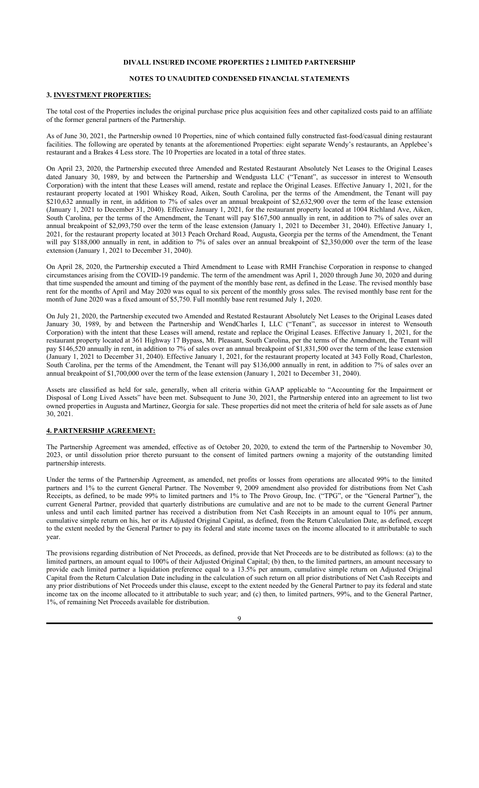# **NOTES TO UNAUDITED CONDENSED FINANCIAL STATEMENTS**

# **3. INVESTMENT PROPERTIES:**

The total cost of the Properties includes the original purchase price plus acquisition fees and other capitalized costs paid to an affiliate of the former general partners of the Partnership.

As of June 30, 2021, the Partnership owned 10 Properties, nine of which contained fully constructed fast-food/casual dining restaurant facilities. The following are operated by tenants at the aforementioned Properties: eight separate Wendy's restaurants, an Applebee's restaurant and a Brakes 4 Less store. The 10 Properties are located in a total of three states.

On April 23, 2020, the Partnership executed three Amended and Restated Restaurant Absolutely Net Leases to the Original Leases dated January 30, 1989, by and between the Partnership and Wendgusta LLC ("Tenant", as successor in interest to Wensouth Corporation) with the intent that these Leases will amend, restate and replace the Original Leases. Effective January 1, 2021, for the restaurant property located at 1901 Whiskey Road, Aiken, South Carolina, per the terms of the Amendment, the Tenant will pay \$210,632 annually in rent, in addition to 7% of sales over an annual breakpoint of \$2,632,900 over the term of the lease extension (January 1, 2021 to December 31, 2040). Effective January 1, 2021, for the restaurant property located at 1004 Richland Ave, Aiken, South Carolina, per the terms of the Amendment, the Tenant will pay \$167,500 annually in rent, in addition to 7% of sales over an annual breakpoint of \$2,093,750 over the term of the lease extension (January 1, 2021 to December 31, 2040). Effective January 1, 2021, for the restaurant property located at 3013 Peach Orchard Road, Augusta, Georgia per the terms of the Amendment, the Tenant will pay \$188,000 annually in rent, in addition to 7% of sales over an annual breakpoint of \$2,350,000 over the term of the lease extension (January 1, 2021 to December 31, 2040).

On April 28, 2020, the Partnership executed a Third Amendment to Lease with RMH Franchise Corporation in response to changed circumstances arising from the COVID-19 pandemic. The term of the amendment was April 1, 2020 through June 30, 2020 and during that time suspended the amount and timing of the payment of the monthly base rent, as defined in the Lease. The revised monthly base rent for the months of April and May 2020 was equal to six percent of the monthly gross sales. The revised monthly base rent for the month of June 2020 was a fixed amount of \$5,750. Full monthly base rent resumed July 1, 2020.

On July 21, 2020, the Partnership executed two Amended and Restated Restaurant Absolutely Net Leases to the Original Leases dated January 30, 1989, by and between the Partnership and WendCharles I, LLC ("Tenant", as successor in interest to Wensouth Corporation) with the intent that these Leases will amend, restate and replace the Original Leases. Effective January 1, 2021, for the restaurant property located at 361 Highway 17 Bypass, Mt. Pleasant, South Carolina, per the terms of the Amendment, the Tenant will pay \$146,520 annually in rent, in addition to 7% of sales over an annual breakpoint of \$1,831,500 over the term of the lease extension (January 1, 2021 to December 31, 2040). Effective January 1, 2021, for the restaurant property located at 343 Folly Road, Charleston, South Carolina, per the terms of the Amendment, the Tenant will pay \$136,000 annually in rent, in addition to 7% of sales over an annual breakpoint of \$1,700,000 over the term of the lease extension (January 1, 2021 to December 31, 2040).

Assets are classified as held for sale, generally, when all criteria within GAAP applicable to "Accounting for the Impairment or Disposal of Long Lived Assets" have been met. Subsequent to June 30, 2021, the Partnership entered into an agreement to list two owned properties in Augusta and Martinez, Georgia for sale. These properties did not meet the criteria of held for sale assets as of June 30, 2021.

#### **4. PARTNERSHIP AGREEMENT:**

The Partnership Agreement was amended, effective as of October 20, 2020, to extend the term of the Partnership to November 30, 2023, or until dissolution prior thereto pursuant to the consent of limited partners owning a majority of the outstanding limited partnership interests.

Under the terms of the Partnership Agreement, as amended, net profits or losses from operations are allocated 99% to the limited partners and 1% to the current General Partner. The November 9, 2009 amendment also provided for distributions from Net Cash Receipts, as defined, to be made 99% to limited partners and 1% to The Provo Group, Inc. ("TPG", or the "General Partner"), the current General Partner, provided that quarterly distributions are cumulative and are not to be made to the current General Partner unless and until each limited partner has received a distribution from Net Cash Receipts in an amount equal to 10% per annum, cumulative simple return on his, her or its Adjusted Original Capital, as defined, from the Return Calculation Date, as defined, except to the extent needed by the General Partner to pay its federal and state income taxes on the income allocated to it attributable to such year.

The provisions regarding distribution of Net Proceeds, as defined, provide that Net Proceeds are to be distributed as follows: (a) to the limited partners, an amount equal to 100% of their Adjusted Original Capital; (b) then, to the limited partners, an amount necessary to provide each limited partner a liquidation preference equal to a 13.5% per annum, cumulative simple return on Adjusted Original Capital from the Return Calculation Date including in the calculation of such return on all prior distributions of Net Cash Receipts and any prior distributions of Net Proceeds under this clause, except to the extent needed by the General Partner to pay its federal and state income tax on the income allocated to it attributable to such year; and (c) then, to limited partners, 99%, and to the General Partner, 1%, of remaining Net Proceeds available for distribution.

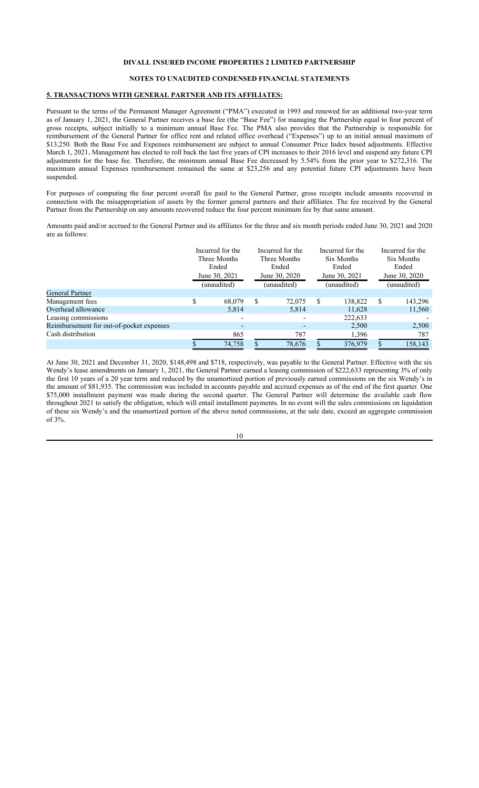# **NOTES TO UNAUDITED CONDENSED FINANCIAL STATEMENTS**

# **5. TRANSACTIONS WITH GENERAL PARTNER AND ITS AFFILIATES:**

Pursuant to the terms of the Permanent Manager Agreement ("PMA") executed in 1993 and renewed for an additional two-year term as of January 1, 2021, the General Partner receives a base fee (the "Base Fee") for managing the Partnership equal to four percent of gross receipts, subject initially to a minimum annual Base Fee. The PMA also provides that the Partnership is responsible for reimbursement of the General Partner for office rent and related office overhead ("Expenses") up to an initial annual maximum of \$13,250. Both the Base Fee and Expenses reimbursement are subject to annual Consumer Price Index based adjustments. Effective March 1, 2021, Management has elected to roll back the last five years of CPI increases to their 2016 level and suspend any future CPI adjustments for the base fee. Therefore, the minimum annual Base Fee decreased by 5.54% from the prior year to \$272,316. The maximum annual Expenses reimbursement remained the same at \$23,256 and any potential future CPI adjustments have been suspended.

For purposes of computing the four percent overall fee paid to the General Partner, gross receipts include amounts recovered in connection with the misappropriation of assets by the former general partners and their affiliates. The fee received by the General Partner from the Partnership on any amounts recovered reduce the four percent minimum fee by that same amount.

Amounts paid and/or accrued to the General Partner and its affiliates for the three and six month periods ended June 30, 2021 and 2020 are as follows:

|                                          | Incurred for the<br>Three Months<br>Ended<br>June 30, 2021<br>(unaudited) |        | Incurred for the<br>Three Months<br>Ended<br>June 30, 2020<br>(unaudited) |        | Incurred for the<br>Six Months<br>Ended<br>June 30, 2021<br>(unaudited) |         | Incurred for the<br>Six Months<br>Ended<br>June 30, 2020<br>(unaudited) |         |
|------------------------------------------|---------------------------------------------------------------------------|--------|---------------------------------------------------------------------------|--------|-------------------------------------------------------------------------|---------|-------------------------------------------------------------------------|---------|
| <b>General Partner</b>                   |                                                                           |        |                                                                           |        |                                                                         |         |                                                                         |         |
| Management fees                          | S                                                                         | 68,079 | \$.                                                                       | 72,075 | S                                                                       | 138,822 | \$.                                                                     | 143,296 |
| Overhead allowance                       |                                                                           | 5,814  |                                                                           | 5,814  |                                                                         | 11,628  |                                                                         | 11,560  |
| Leasing commissions                      |                                                                           |        |                                                                           |        |                                                                         | 222,633 |                                                                         |         |
| Reimbursement for out-of-pocket expenses |                                                                           | -      |                                                                           |        |                                                                         | 2,500   |                                                                         | 2,500   |
| Cash distribution                        |                                                                           | 865    |                                                                           | 787    |                                                                         | 1,396   |                                                                         | 787     |
|                                          |                                                                           | 74,758 |                                                                           | 78,676 |                                                                         | 376,979 |                                                                         | 158,143 |

At June 30, 2021 and December 31, 2020, \$148,498 and \$718, respectively, was payable to the General Partner. Effective with the six Wendy's lease amendments on January 1, 2021, the General Partner earned a leasing commission of \$222,633 representing 3% of only the first 10 years of a 20 year term and reduced by the unamortized portion of previously earned commissions on the six Wendy's in the amount of \$81,935. The commission was included in accounts payable and accrued expenses as of the end of the first quarter. One \$75,000 installment payment was made during the second quarter. The General Partner will determine the available cash flow throughout 2021 to satisfy the obligation, which will entail installment payments. In no event will the sales commissions on liquidation of these six Wendy's and the unamortized portion of the above noted commissions, at the sale date, exceed an aggregate commission of 3%.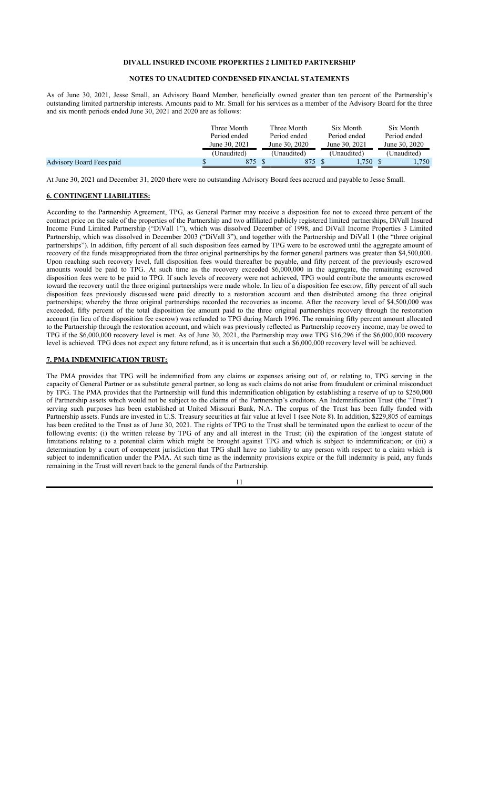#### **NOTES TO UNAUDITED CONDENSED FINANCIAL STATEMENTS**

As of June 30, 2021, Jesse Small, an Advisory Board Member, beneficially owned greater than ten percent of the Partnership's outstanding limited partnership interests. Amounts paid to Mr. Small for his services as a member of the Advisory Board for the three and six month periods ended June 30, 2021 and 2020 are as follows:

|                          | Three Month<br>Period ended<br>June 30, 2021 | Three Month<br>Period ended<br>June 30, 2020 | Six Month<br>Period ended<br>June 30, 2021 | Six Month<br>Period ended<br>June 30, 2020 |
|--------------------------|----------------------------------------------|----------------------------------------------|--------------------------------------------|--------------------------------------------|
|                          | (Unaudited)                                  | (Unaudited)                                  | (Unaudited)                                | (Unaudited)                                |
| Advisory Board Fees paid | 875                                          | 875                                          | .750                                       | 1,750                                      |

At June 30, 2021 and December 31, 2020 there were no outstanding Advisory Board fees accrued and payable to Jesse Small.

#### **6. CONTINGENT LIABILITIES:**

According to the Partnership Agreement, TPG, as General Partner may receive a disposition fee not to exceed three percent of the contract price on the sale of the properties of the Partnership and two affiliated publicly registered limited partnerships, DiVall Insured Income Fund Limited Partnership ("DiVall 1"), which was dissolved December of 1998, and DiVall Income Properties 3 Limited Partnership, which was dissolved in December 2003 ("DiVall 3"), and together with the Partnership and DiVall 1 (the "three original partnerships"). In addition, fifty percent of all such disposition fees earned by TPG were to be escrowed until the aggregate amount of recovery of the funds misappropriated from the three original partnerships by the former general partners was greater than \$4,500,000. Upon reaching such recovery level, full disposition fees would thereafter be payable, and fifty percent of the previously escrowed amounts would be paid to TPG. At such time as the recovery exceeded \$6,000,000 in the aggregate, the remaining escrowed disposition fees were to be paid to TPG. If such levels of recovery were not achieved, TPG would contribute the amounts escrowed toward the recovery until the three original partnerships were made whole. In lieu of a disposition fee escrow, fifty percent of all such disposition fees previously discussed were paid directly to a restoration account and then distributed among the three original partnerships; whereby the three original partnerships recorded the recoveries as income. After the recovery level of \$4,500,000 was exceeded, fifty percent of the total disposition fee amount paid to the three original partnerships recovery through the restoration account (in lieu of the disposition fee escrow) was refunded to TPG during March 1996. The remaining fifty percent amount allocated to the Partnership through the restoration account, and which was previously reflected as Partnership recovery income, may be owed to TPG if the \$6,000,000 recovery level is met. As of June 30, 2021, the Partnership may owe TPG \$16,296 if the \$6,000,000 recovery level is achieved. TPG does not expect any future refund, as it is uncertain that such a \$6,000,000 recovery level will be achieved.

#### **7. PMA INDEMNIFICATION TRUST:**

The PMA provides that TPG will be indemnified from any claims or expenses arising out of, or relating to, TPG serving in the capacity of General Partner or as substitute general partner, so long as such claims do not arise from fraudulent or criminal misconduct by TPG. The PMA provides that the Partnership will fund this indemnification obligation by establishing a reserve of up to \$250,000 of Partnership assets which would not be subject to the claims of the Partnership's creditors. An Indemnification Trust (the "Trust") serving such purposes has been established at United Missouri Bank, N.A. The corpus of the Trust has been fully funded with Partnership assets. Funds are invested in U.S. Treasury securities at fair value at level 1 (see Note 8). In addition, \$229,805 of earnings has been credited to the Trust as of June 30, 2021. The rights of TPG to the Trust shall be terminated upon the earliest to occur of the following events: (i) the written release by TPG of any and all interest in the Trust; (ii) the expiration of the longest statute of limitations relating to a potential claim which might be brought against TPG and which is subject to indemnification; or (iii) a determination by a court of competent jurisdiction that TPG shall have no liability to any person with respect to a claim which is subject to indemnification under the PMA. At such time as the indemnity provisions expire or the full indemnity is paid, any funds remaining in the Trust will revert back to the general funds of the Partnership.

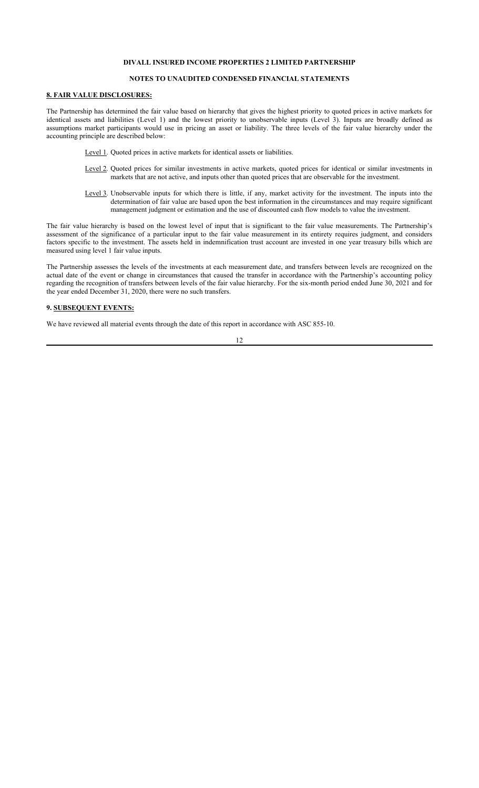### **NOTES TO UNAUDITED CONDENSED FINANCIAL STATEMENTS**

# **8. FAIR VALUE DISCLOSURES:**

The Partnership has determined the fair value based on hierarchy that gives the highest priority to quoted prices in active markets for identical assets and liabilities (Level 1) and the lowest priority to unobservable inputs (Level 3). Inputs are broadly defined as assumptions market participants would use in pricing an asset or liability. The three levels of the fair value hierarchy under the accounting principle are described below:

Level 1. Quoted prices in active markets for identical assets or liabilities.

- Level 2. Quoted prices for similar investments in active markets, quoted prices for identical or similar investments in markets that are not active, and inputs other than quoted prices that are observable for the investment.
- Level 3. Unobservable inputs for which there is little, if any, market activity for the investment. The inputs into the determination of fair value are based upon the best information in the circumstances and may require significant management judgment or estimation and the use of discounted cash flow models to value the investment.

The fair value hierarchy is based on the lowest level of input that is significant to the fair value measurements. The Partnership's assessment of the significance of a particular input to the fair value measurement in its entirety requires judgment, and considers factors specific to the investment. The assets held in indemnification trust account are invested in one year treasury bills which are measured using level 1 fair value inputs.

The Partnership assesses the levels of the investments at each measurement date, and transfers between levels are recognized on the actual date of the event or change in circumstances that caused the transfer in accordance with the Partnership's accounting policy regarding the recognition of transfers between levels of the fair value hierarchy. For the six-month period ended June 30, 2021 and for the year ended December 31, 2020, there were no such transfers.

#### **9. SUBSEQUENT EVENTS:**

We have reviewed all material events through the date of this report in accordance with ASC 855-10.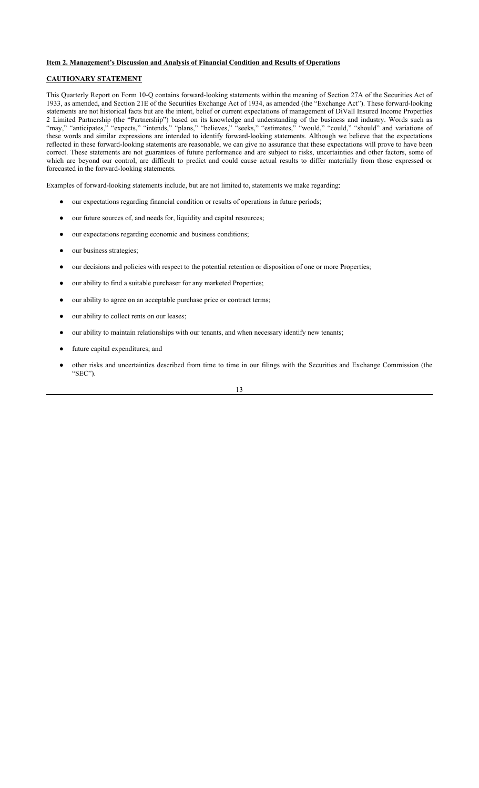#### **Item 2. Management's Discussion and Analysis of Financial Condition and Results of Operations**

### **CAUTIONARY STATEMENT**

This Quarterly Report on Form 10-Q contains forward-looking statements within the meaning of Section 27A of the Securities Act of 1933, as amended, and Section 21E of the Securities Exchange Act of 1934, as amended (the "Exchange Act"). These forward-looking statements are not historical facts but are the intent, belief or current expectations of management of DiVall Insured Income Properties 2 Limited Partnership (the "Partnership") based on its knowledge and understanding of the business and industry. Words such as "may," "anticipates," "expects," "intends," "plans," "believes," "seeks," "estimates," "would," "could," "should" and variations of these words and similar expressions are intended to identify forward-looking statements. Although we believe that the expectations reflected in these forward-looking statements are reasonable, we can give no assurance that these expectations will prove to have been correct. These statements are not guarantees of future performance and are subject to risks, uncertainties and other factors, some of which are beyond our control, are difficult to predict and could cause actual results to differ materially from those expressed or forecasted in the forward-looking statements.

Examples of forward-looking statements include, but are not limited to, statements we make regarding:

- our expectations regarding financial condition or results of operations in future periods;
- our future sources of, and needs for, liquidity and capital resources;
- our expectations regarding economic and business conditions;
- our business strategies;
- our decisions and policies with respect to the potential retention or disposition of one or more Properties;
- our ability to find a suitable purchaser for any marketed Properties;
- our ability to agree on an acceptable purchase price or contract terms;
- our ability to collect rents on our leases;
- our ability to maintain relationships with our tenants, and when necessary identify new tenants;
- future capital expenditures; and
- other risks and uncertainties described from time to time in our filings with the Securities and Exchange Commission (the "SEC").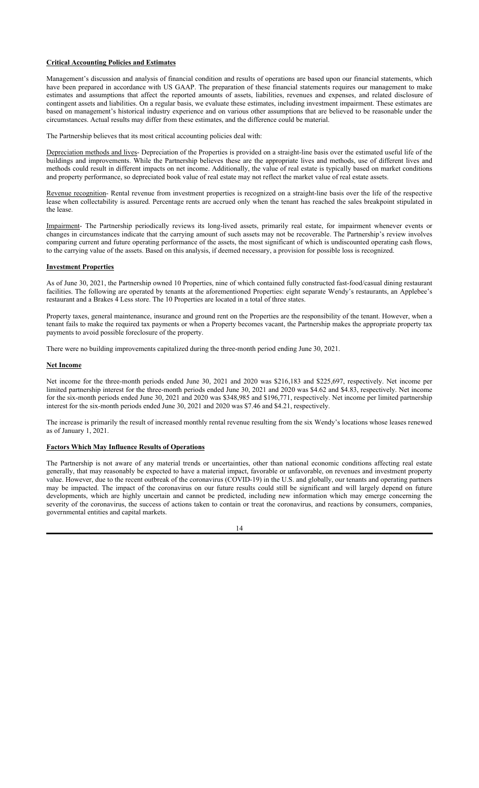#### **Critical Accounting Policies and Estimates**

Management's discussion and analysis of financial condition and results of operations are based upon our financial statements, which have been prepared in accordance with US GAAP. The preparation of these financial statements requires our management to make estimates and assumptions that affect the reported amounts of assets, liabilities, revenues and expenses, and related disclosure of contingent assets and liabilities. On a regular basis, we evaluate these estimates, including investment impairment. These estimates are based on management's historical industry experience and on various other assumptions that are believed to be reasonable under the circumstances. Actual results may differ from these estimates, and the difference could be material.

The Partnership believes that its most critical accounting policies deal with:

Depreciation methods and lives- Depreciation of the Properties is provided on a straight-line basis over the estimated useful life of the buildings and improvements. While the Partnership believes these are the appropriate lives and methods, use of different lives and methods could result in different impacts on net income. Additionally, the value of real estate is typically based on market conditions and property performance, so depreciated book value of real estate may not reflect the market value of real estate assets.

Revenue recognition- Rental revenue from investment properties is recognized on a straight-line basis over the life of the respective lease when collectability is assured. Percentage rents are accrued only when the tenant has reached the sales breakpoint stipulated in the lease.

Impairment- The Partnership periodically reviews its long-lived assets, primarily real estate, for impairment whenever events or changes in circumstances indicate that the carrying amount of such assets may not be recoverable. The Partnership's review involves comparing current and future operating performance of the assets, the most significant of which is undiscounted operating cash flows, to the carrying value of the assets. Based on this analysis, if deemed necessary, a provision for possible loss is recognized.

#### **Investment Properties**

As of June 30, 2021, the Partnership owned 10 Properties, nine of which contained fully constructed fast-food/casual dining restaurant facilities. The following are operated by tenants at the aforementioned Properties: eight separate Wendy's restaurants, an Applebee's restaurant and a Brakes 4 Less store. The 10 Properties are located in a total of three states.

Property taxes, general maintenance, insurance and ground rent on the Properties are the responsibility of the tenant. However, when a tenant fails to make the required tax payments or when a Property becomes vacant, the Partnership makes the appropriate property tax payments to avoid possible foreclosure of the property.

There were no building improvements capitalized during the three-month period ending June 30, 2021.

#### **Net Income**

Net income for the three-month periods ended June 30, 2021 and 2020 was \$216,183 and \$225,697, respectively. Net income per limited partnership interest for the three-month periods ended June 30, 2021 and 2020 was \$4.62 and \$4.83, respectively. Net income for the six-month periods ended June 30, 2021 and 2020 was \$348,985 and \$196,771, respectively. Net income per limited partnership interest for the six-month periods ended June 30, 2021 and 2020 was \$7.46 and \$4.21, respectively.

The increase is primarily the result of increased monthly rental revenue resulting from the six Wendy's locations whose leases renewed as of January 1, 2021.

#### **Factors Which May Influence Results of Operations**

The Partnership is not aware of any material trends or uncertainties, other than national economic conditions affecting real estate generally, that may reasonably be expected to have a material impact, favorable or unfavorable, on revenues and investment property value. However, due to the recent outbreak of the coronavirus (COVID-19) in the U.S. and globally, our tenants and operating partners may be impacted. The impact of the coronavirus on our future results could still be significant and will largely depend on future developments, which are highly uncertain and cannot be predicted, including new information which may emerge concerning the severity of the coronavirus, the success of actions taken to contain or treat the coronavirus, and reactions by consumers, companies, governmental entities and capital markets.

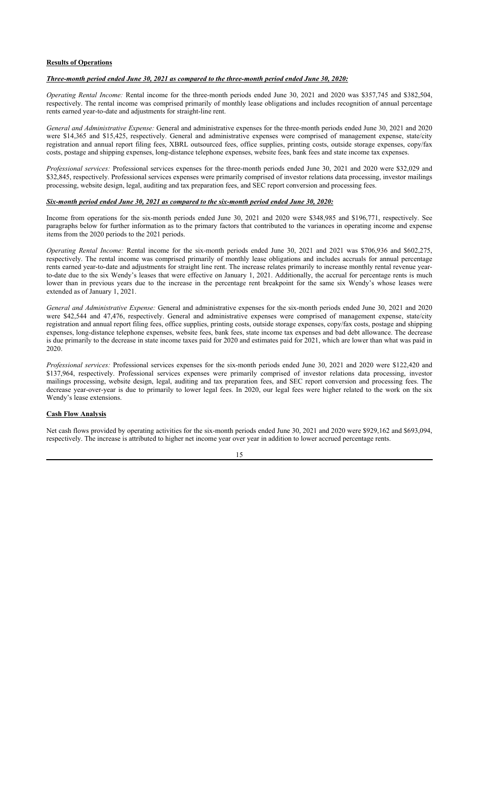#### **Results of Operations**

#### *Three-month period ended June 30, 2021 as compared to the three-month period ended June 30, 2020:*

*Operating Rental Income:* Rental income for the three-month periods ended June 30, 2021 and 2020 was \$357,745 and \$382,504, respectively. The rental income was comprised primarily of monthly lease obligations and includes recognition of annual percentage rents earned year-to-date and adjustments for straight-line rent.

*General and Administrative Expense:* General and administrative expenses for the three-month periods ended June 30, 2021 and 2020 were \$14,365 and \$15,425, respectively. General and administrative expenses were comprised of management expense, state/city registration and annual report filing fees, XBRL outsourced fees, office supplies, printing costs, outside storage expenses, copy/fax costs, postage and shipping expenses, long-distance telephone expenses, website fees, bank fees and state income tax expenses.

*Professional services:* Professional services expenses for the three-month periods ended June 30, 2021 and 2020 were \$32,029 and \$32,845, respectively. Professional services expenses were primarily comprised of investor relations data processing, investor mailings processing, website design, legal, auditing and tax preparation fees, and SEC report conversion and processing fees.

#### *Six-month period ended June 30, 2021 as compared to the six-month period ended June 30, 2020:*

Income from operations for the six-month periods ended June 30, 2021 and 2020 were \$348,985 and \$196,771, respectively. See paragraphs below for further information as to the primary factors that contributed to the variances in operating income and expense items from the 2020 periods to the 2021 periods.

*Operating Rental Income:* Rental income for the six-month periods ended June 30, 2021 and 2021 was \$706,936 and \$602,275, respectively. The rental income was comprised primarily of monthly lease obligations and includes accruals for annual percentage rents earned year-to-date and adjustments for straight line rent. The increase relates primarily to increase monthly rental revenue yearto-date due to the six Wendy's leases that were effective on January 1, 2021. Additionally, the accrual for percentage rents is much lower than in previous years due to the increase in the percentage rent breakpoint for the same six Wendy's whose leases were extended as of January 1, 2021.

*General and Administrative Expense:* General and administrative expenses for the six-month periods ended June 30, 2021 and 2020 were \$42,544 and 47,476, respectively. General and administrative expenses were comprised of management expense, state/city registration and annual report filing fees, office supplies, printing costs, outside storage expenses, copy/fax costs, postage and shipping expenses, long-distance telephone expenses, website fees, bank fees, state income tax expenses and bad debt allowance. The decrease is due primarily to the decrease in state income taxes paid for 2020 and estimates paid for 2021, which are lower than what was paid in 2020.

*Professional services:* Professional services expenses for the six-month periods ended June 30, 2021 and 2020 were \$122,420 and \$137,964, respectively. Professional services expenses were primarily comprised of investor relations data processing, investor mailings processing, website design, legal, auditing and tax preparation fees, and SEC report conversion and processing fees. The decrease year-over-year is due to primarily to lower legal fees. In 2020, our legal fees were higher related to the work on the six Wendy's lease extensions.

#### **Cash Flow Analysis**

Net cash flows provided by operating activities for the six-month periods ended June 30, 2021 and 2020 were \$929,162 and \$693,094, respectively. The increase is attributed to higher net income year over year in addition to lower accrued percentage rents.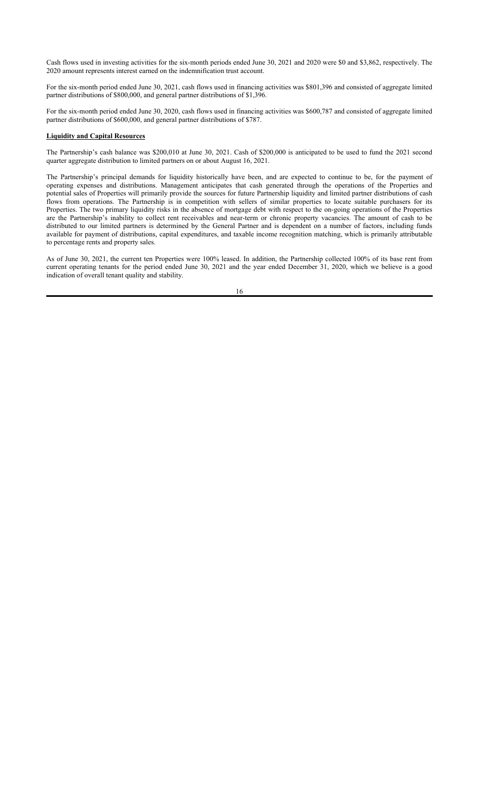Cash flows used in investing activities for the six-month periods ended June 30, 2021 and 2020 were \$0 and \$3,862, respectively. The 2020 amount represents interest earned on the indemnification trust account.

For the six-month period ended June 30, 2021, cash flows used in financing activities was \$801,396 and consisted of aggregate limited partner distributions of \$800,000, and general partner distributions of \$1,396.

For the six-month period ended June 30, 2020, cash flows used in financing activities was \$600,787 and consisted of aggregate limited partner distributions of \$600,000, and general partner distributions of \$787.

#### **Liquidity and Capital Resources**

The Partnership's cash balance was \$200,010 at June 30, 2021. Cash of \$200,000 is anticipated to be used to fund the 2021 second quarter aggregate distribution to limited partners on or about August 16, 2021.

The Partnership's principal demands for liquidity historically have been, and are expected to continue to be, for the payment of operating expenses and distributions. Management anticipates that cash generated through the operations of the Properties and potential sales of Properties will primarily provide the sources for future Partnership liquidity and limited partner distributions of cash flows from operations. The Partnership is in competition with sellers of similar properties to locate suitable purchasers for its Properties. The two primary liquidity risks in the absence of mortgage debt with respect to the on-going operations of the Properties are the Partnership's inability to collect rent receivables and near-term or chronic property vacancies. The amount of cash to be distributed to our limited partners is determined by the General Partner and is dependent on a number of factors, including funds available for payment of distributions, capital expenditures, and taxable income recognition matching, which is primarily attributable to percentage rents and property sales.

As of June 30, 2021, the current ten Properties were 100% leased. In addition, the Partnership collected 100% of its base rent from current operating tenants for the period ended June 30, 2021 and the year ended December 31, 2020, which we believe is a good indication of overall tenant quality and stability.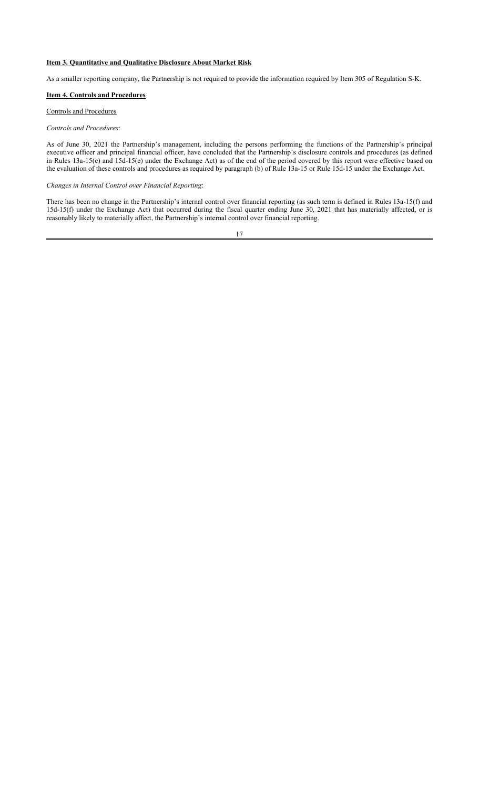### **Item 3. Quantitative and Qualitative Disclosure About Market Risk**

As a smaller reporting company, the Partnership is not required to provide the information required by Item 305 of Regulation S-K.

# **Item 4. Controls and Procedures**

### Controls and Procedures

#### *Controls and Procedures*:

As of June 30, 2021 the Partnership's management, including the persons performing the functions of the Partnership's principal executive officer and principal financial officer, have concluded that the Partnership's disclosure controls and procedures (as defined in Rules 13a-15(e) and 15d-15(e) under the Exchange Act) as of the end of the period covered by this report were effective based on the evaluation of these controls and procedures as required by paragraph (b) of Rule 13a-15 or Rule 15d-15 under the Exchange Act.

#### *Changes in Internal Control over Financial Reporting*:

There has been no change in the Partnership's internal control over financial reporting (as such term is defined in Rules 13a-15(f) and 15d-15(f) under the Exchange Act) that occurred during the fiscal quarter ending June 30, 2021 that has materially affected, or is reasonably likely to materially affect, the Partnership's internal control over financial reporting.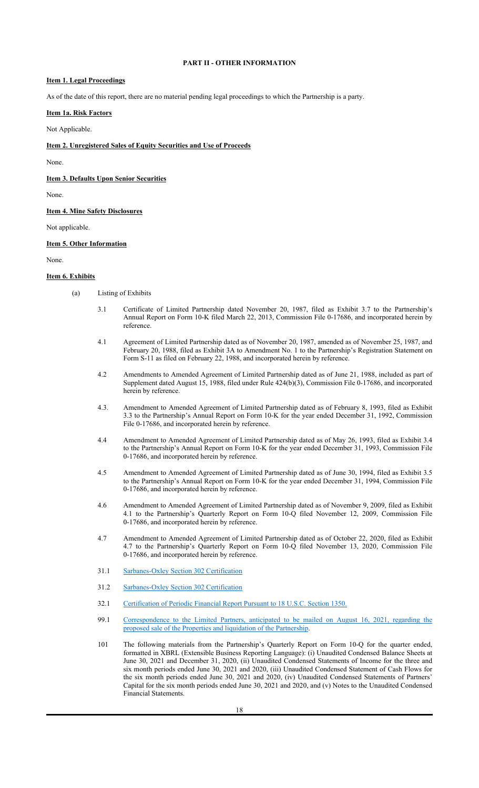### **PART II - OTHER INFORMATION**

#### **Item 1. Legal Proceedings**

As of the date of this report, there are no material pending legal proceedings to which the Partnership is a party.

# **Item 1a. Risk Factors**

Not Applicable.

#### **Item 2. Unregistered Sales of Equity Securities and Use of Proceeds**

None.

**Item 3. Defaults Upon Senior Securities**

None.

#### **Item 4. Mine Safety Disclosures**

Not applicable.

#### **Item 5. Other Information**

None.

#### **Item 6. Exhibits**

- (a) Listing of Exhibits
	- 3.1 Certificate of Limited Partnership dated November 20, 1987, filed as Exhibit 3.7 to the Partnership's Annual Report on Form 10-K filed March 22, 2013, Commission File 0-17686, and incorporated herein by reference.
	- 4.1 Agreement of Limited Partnership dated as of November 20, 1987, amended as of November 25, 1987, and February 20, 1988, filed as Exhibit 3A to Amendment No. 1 to the Partnership's Registration Statement on Form S-11 as filed on February 22, 1988, and incorporated herein by reference.
	- 4.2 Amendments to Amended Agreement of Limited Partnership dated as of June 21, 1988, included as part of Supplement dated August 15, 1988, filed under Rule 424(b)(3), Commission File 0-17686, and incorporated herein by reference.
	- 4.3. Amendment to Amended Agreement of Limited Partnership dated as of February 8, 1993, filed as Exhibit 3.3 to the Partnership's Annual Report on Form 10-K for the year ended December 31, 1992, Commission File 0-17686, and incorporated herein by reference.
	- 4.4 Amendment to Amended Agreement of Limited Partnership dated as of May 26, 1993, filed as Exhibit 3.4 to the Partnership's Annual Report on Form 10-K for the year ended December 31, 1993, Commission File 0-17686, and incorporated herein by reference.
	- 4.5 Amendment to Amended Agreement of Limited Partnership dated as of June 30, 1994, filed as Exhibit 3.5 to the Partnership's Annual Report on Form 10-K for the year ended December 31, 1994, Commission File 0-17686, and incorporated herein by reference.
	- 4.6 Amendment to Amended Agreement of Limited Partnership dated as of November 9, 2009, filed as Exhibit 4.1 to the Partnership's Quarterly Report on Form 10-Q filed November 12, 2009, Commission File 0-17686, and incorporated herein by reference.
	- 4.7 Amendment to Amended Agreement of Limited Partnership dated as of October 22, 2020, filed as Exhibit 4.7 to the Partnership's Quarterly Report on Form 10-Q filed November 13, 2020, Commission File 0-17686, and incorporated herein by reference.
	- 31.1 Sarbanes-Oxley Section 302 Certification
	- 31.2 Sarbanes-Oxley Section 302 Certification
	- 32.1 Certification of Periodic Financial Report Pursuant to 18 U.S.C. Section 1350.
	- 99.1 Correspondence to the Limited Partners, anticipated to be mailed on August 16, 2021, regarding the proposed sale of the Properties and liquidation of the Partnership.
	- 101 The following materials from the Partnership's Quarterly Report on Form 10-Q for the quarter ended, formatted in XBRL (Extensible Business Reporting Language): (i) Unaudited Condensed Balance Sheets at June 30, 2021 and December 31, 2020, (ii) Unaudited Condensed Statements of Income for the three and six month periods ended June 30, 2021 and 2020, (iii) Unaudited Condensed Statement of Cash Flows for the six month periods ended June 30, 2021 and 2020, (iv) Unaudited Condensed Statements of Partners' Capital for the six month periods ended June 30, 2021 and 2020, and (v) Notes to the Unaudited Condensed Financial Statements.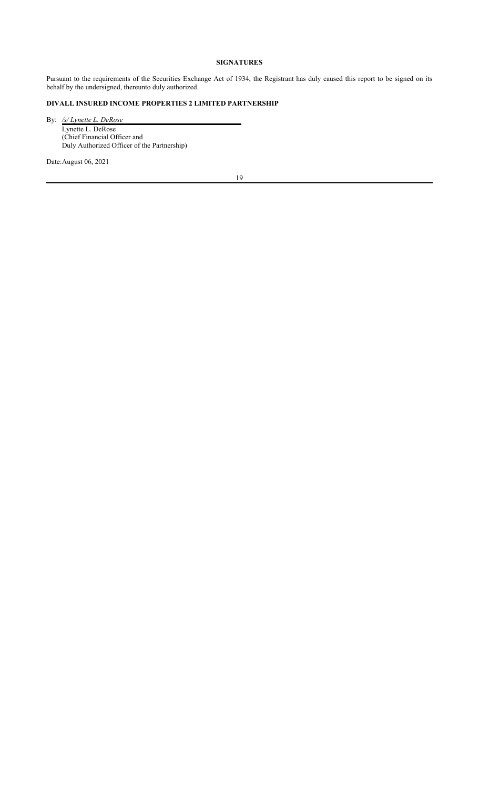# **SIGNATURES**

Pursuant to the requirements of the Securities Exchange Act of 1934, the Registrant has duly caused this report to be signed on its behalf by the undersigned, thereunto duly authorized.

# **DIVALL INSURED INCOME PROPERTIES 2 LIMITED PARTNERSHIP**

By: */s/ Lynette L. DeRose* Lynette L. DeRose (Chief Financial Officer and Duly Authorized Officer of the Partnership)

Date:August 06, 2021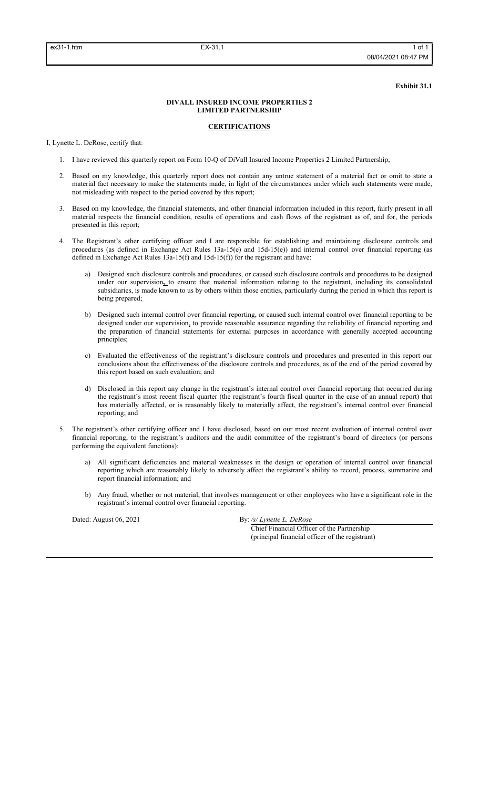**Exhibit 31.1**

### **DIVALL INSURED INCOME PROPERTIES 2 LIMITED PARTNERSHIP**

# **CERTIFICATIONS**

I, Lynette L. DeRose, certify that:

- 1. I have reviewed this quarterly report on Form 10-Q of DiVall Insured Income Properties 2 Limited Partnership;
- 2. Based on my knowledge, this quarterly report does not contain any untrue statement of a material fact or omit to state a material fact necessary to make the statements made, in light of the circumstances under which such statements were made, not misleading with respect to the period covered by this report;
- 3. Based on my knowledge, the financial statements, and other financial information included in this report, fairly present in all material respects the financial condition, results of operations and cash flows of the registrant as of, and for, the periods presented in this report;
- 4. The Registrant's other certifying officer and I are responsible for establishing and maintaining disclosure controls and procedures (as defined in Exchange Act Rules 13a-15(e) and 15d-15(e)) and internal control over financial reporting (as defined in Exchange Act Rules 13a-15(f) and 15d-15(f)) for the registrant and have:
	- a) Designed such disclosure controls and procedures, or caused such disclosure controls and procedures to be designed under our supervision**,** to ensure that material information relating to the registrant, including its consolidated subsidiaries, is made known to us by others within those entities, particularly during the period in which this report is being prepared;
	- b) Designed such internal control over financial reporting, or caused such internal control over financial reporting to be designed under our supervision, to provide reasonable assurance regarding the reliability of financial reporting and the preparation of financial statements for external purposes in accordance with generally accepted accounting principles;
	- c) Evaluated the effectiveness of the registrant's disclosure controls and procedures and presented in this report our conclusions about the effectiveness of the disclosure controls and procedures, as of the end of the period covered by this report based on such evaluation; and
	- d) Disclosed in this report any change in the registrant's internal control over financial reporting that occurred during the registrant's most recent fiscal quarter (the registrant's fourth fiscal quarter in the case of an annual report) that has materially affected, or is reasonably likely to materially affect, the registrant's internal control over financial reporting; and
- 5. The registrant's other certifying officer and I have disclosed, based on our most recent evaluation of internal control over financial reporting, to the registrant's auditors and the audit committee of the registrant's board of directors (or persons performing the equivalent functions):
	- a) All significant deficiencies and material weaknesses in the design or operation of internal control over financial reporting which are reasonably likely to adversely affect the registrant's ability to record, process, summarize and report financial information; and
	- b) Any fraud, whether or not material, that involves management or other employees who have a significant role in the registrant's internal control over financial reporting.

Dated: August 06, 2021 By: /s/ Lynette L. DeRose

Chief Financial Officer of the Partnership (principal financial officer of the registrant)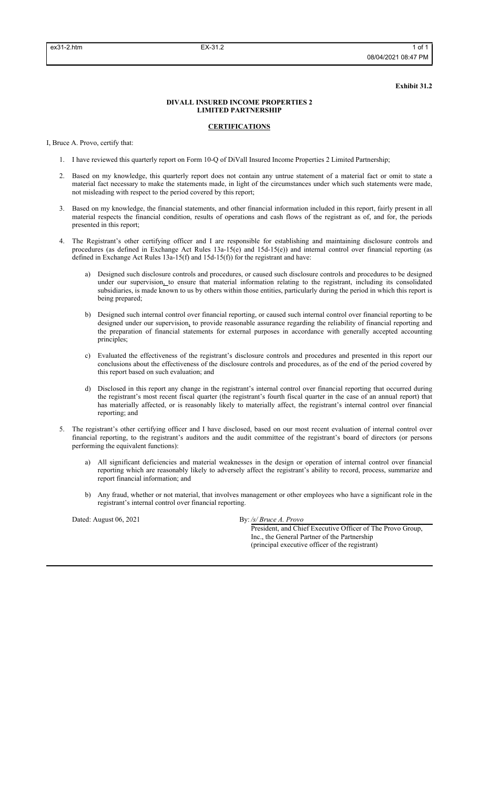**Exhibit 31.2**

#### **DIVALL INSURED INCOME PROPERTIES 2 LIMITED PARTNERSHIP**

# **CERTIFICATIONS**

I, Bruce A. Provo, certify that:

- 1. I have reviewed this quarterly report on Form 10-Q of DiVall Insured Income Properties 2 Limited Partnership;
- 2. Based on my knowledge, this quarterly report does not contain any untrue statement of a material fact or omit to state a material fact necessary to make the statements made, in light of the circumstances under which such statements were made, not misleading with respect to the period covered by this report;
- 3. Based on my knowledge, the financial statements, and other financial information included in this report, fairly present in all material respects the financial condition, results of operations and cash flows of the registrant as of, and for, the periods presented in this report;
- 4. The Registrant's other certifying officer and I are responsible for establishing and maintaining disclosure controls and procedures (as defined in Exchange Act Rules 13a-15(e) and 15d-15(e)) and internal control over financial reporting (as defined in Exchange Act Rules 13a-15(f) and 15d-15(f)) for the registrant and have:
	- a) Designed such disclosure controls and procedures, or caused such disclosure controls and procedures to be designed under our supervision, to ensure that material information relating to the registrant, including its consolidated subsidiaries, is made known to us by others within those entities, particularly during the period in which this report is being prepared;
	- b) Designed such internal control over financial reporting, or caused such internal control over financial reporting to be designed under our supervision, to provide reasonable assurance regarding the reliability of financial reporting and the preparation of financial statements for external purposes in accordance with generally accepted accounting principles;
	- c) Evaluated the effectiveness of the registrant's disclosure controls and procedures and presented in this report our conclusions about the effectiveness of the disclosure controls and procedures, as of the end of the period covered by this report based on such evaluation; and
	- d) Disclosed in this report any change in the registrant's internal control over financial reporting that occurred during the registrant's most recent fiscal quarter (the registrant's fourth fiscal quarter in the case of an annual report) that has materially affected, or is reasonably likely to materially affect, the registrant's internal control over financial reporting; and
- 5. The registrant's other certifying officer and I have disclosed, based on our most recent evaluation of internal control over financial reporting, to the registrant's auditors and the audit committee of the registrant's board of directors (or persons performing the equivalent functions):
	- a) All significant deficiencies and material weaknesses in the design or operation of internal control over financial reporting which are reasonably likely to adversely affect the registrant's ability to record, process, summarize and report financial information; and
	- b) Any fraud, whether or not material, that involves management or other employees who have a significant role in the registrant's internal control over financial reporting.

Dated: August 06, 2021 By: */s/ Bruce A. Provo* 

President, and Chief Executive Officer of The Provo Group, Inc., the General Partner of the Partnership (principal executive officer of the registrant)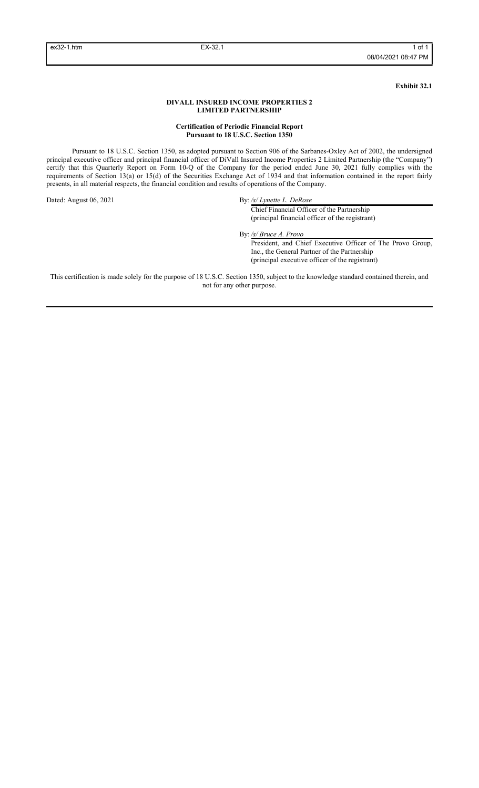**Exhibit 32.1**

#### **DIVALL INSURED INCOME PROPERTIES 2 LIMITED PARTNERSHIP**

#### **Certification of Periodic Financial Report Pursuant to 18 U.S.C. Section 1350**

Pursuant to 18 U.S.C. Section 1350, as adopted pursuant to Section 906 of the Sarbanes-Oxley Act of 2002, the undersigned principal executive officer and principal financial officer of DiVall Insured Income Properties 2 Limited Partnership (the "Company") certify that this Quarterly Report on Form 10-Q of the Company for the period ended June 30, 2021 fully complies with the requirements of Section 13(a) or 15(d) of the Securities Exchange Act of 1934 and that information contained in the report fairly presents, in all material respects, the financial condition and results of operations of the Company.

Dated: August 06, 2021 By: */s/ Lynette L. DeRose* 

Chief Financial Officer of the Partnership (principal financial officer of the registrant)

By: */s/ Bruce A. Provo*

President, and Chief Executive Officer of The Provo Group, Inc., the General Partner of the Partnership (principal executive officer of the registrant)

This certification is made solely for the purpose of 18 U.S.C. Section 1350, subject to the knowledge standard contained therein, and not for any other purpose.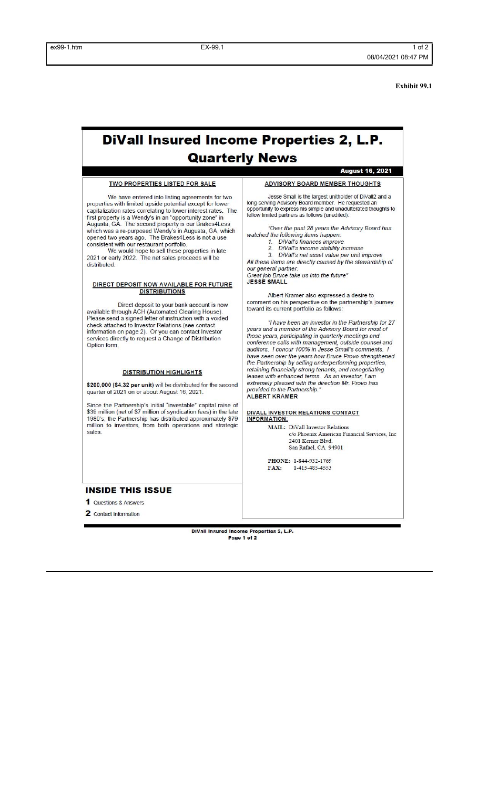**Exhibit 99.1**

# **DiVall Insured Income Properties 2, L.P. Quarterly News**

#### **TWO PROPERTIES LISTED FOR SALE**

We have entered into listing agreements for two properties with limited upside potential except for lower capitalization rates correlating to lower interest rates. The first property is a Wendy's in an "opportunity zone" in<br>Augusta, GA. The second property is our Brakes4Less vision at a re-purposed Wendy's in Augusta, GA, which<br>which was a re-purposed Wendy's in Augusta, GA, which<br>opened two years ago. The Brakes4Less is not a use consistent with our restaurant portfolio.

We would hope to sell these properties in late 2021 or early 2022. The net sales proceeds will be distributed

#### DIRECT DEPOSIT NOW AVAILABLE FOR FUTURE **DISTRIBUTIONS**

Direct deposit to your bank account is now available through ACH (Automated Clearing House).<br>Please send a signed letter of instruction with a voided check attached to Investor Relations (see contact<br>information on page 2). Or you can contact Investor services directly to request a Change of Distribution<br>Option form.

#### **DISTRIBUTION HIGHLIGHTS**

\$200,000 (\$4.32 per unit) will be distributed for the second quarter of 2021 on or about August 16, 2021.

Since the Partnership's initial "investable" capital raise of \$39 million (net of \$7 million of syndication fees) in the late<br>1980's; the Partnership has distributed approximately \$79 million to investors, from both operations and strategic sales.

## **INSIDE THIS ISSUE**

1 Questions & Answers

2 Contact Information

DiVall Insured Income Properties 2, L.P. Page 1 of 2

#### **ADVISORY BOARD MEMBER THOUGHTS**

**August 16, 2021** 

Jesse Small is the largest unitholder of DiVall2 and a Jesuxe Sharini is the targets thin there is provided and a<br>long-serving Advisory Board member. He requested an<br>opportunity to express his simple and unadulterated thoughts to llow limited partners as follows (unedited):

"Over the past 28 years the Advisory Board has watched the following items happen:

- I the following items happen:<br>1. DiVall's finances improve<br>2. DiVall's income stability in
- DiVall's income stability increase

3. DiVall's net asset value per unit improve All these items are directly caused by the stewardship of<br>our general partner.

Great job Bruce take us into the future"<br>JESSE SMALL

Albert Kramer also expressed a desire to comment on his perspective on the partnership's journey toward its current portfolio as follows:

"I have been an investor in the Partnership for 27<br>years and a member of the Advisory Board for most of years and a monitoring in quarterly meetings and<br>conference calls with management, outside counsel and auditors. I concur 100% in Jesse Small's comments. I have seen over the years how Bruce Provo strengthened the Partnership by selling underperforming properties, retaining financially strong tenants, and renegotiating<br>leases with enhanced terms. As an investor, I am extremely pleased with the direction Mr. Provo has provided to the Partnership. ALBERT KRAMER

DIVALL INVESTOR RELATIONS CONTACT<br>INFORMATION:

**MAIL:** DiVall Investor Relations c/o Phoenix American Financial Services, Inc 2401 Kerner Blvd.<br>San Rafael, CA 94901

PHONE: 1-844-932-1769 1-415-485-4553  $FAX:$